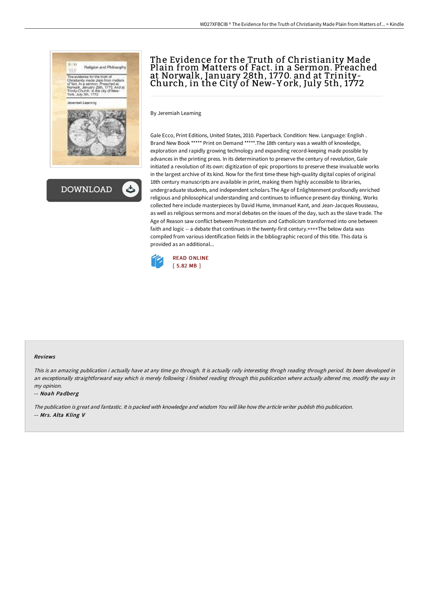



# The Evidence for the Truth of Christianity Made Plain from Matters of Fact. in a Sermon. Preached at Norwalk, January 28th, 1770. and at Trinity-Church, in the City of New-Y ork, July 5th, 1772

By Jeremiah Leaming

Gale Ecco, Print Editions, United States, 2010. Paperback. Condition: New. Language: English . Brand New Book \*\*\*\*\* Print on Demand \*\*\*\*\*.The 18th century was a wealth of knowledge, exploration and rapidly growing technology and expanding record-keeping made possible by advances in the printing press. In its determination to preserve the century of revolution, Gale initiated a revolution of its own: digitization of epic proportions to preserve these invaluable works in the largest archive of its kind. Now for the first time these high-quality digital copies of original 18th century manuscripts are available in print, making them highly accessible to libraries, undergraduate students, and independent scholars.The Age of Enlightenment profoundly enriched religious and philosophical understanding and continues to influence present-day thinking. Works collected here include masterpieces by David Hume, Immanuel Kant, and Jean-Jacques Rousseau, as well as religious sermons and moral debates on the issues of the day, such as the slave trade. The Age of Reason saw conflict between Protestantism and Catholicism transformed into one between faith and logic -- a debate that continues in the twenty-first century.++++The below data was compiled from various identification fields in the bibliographic record of this title. This data is provided as an additional...



### Reviews

This is an amazing publication i actually have at any time go through. It is actually rally interesting throgh reading through period. Its been developed in an exceptionally straightforward way which is merely following i finished reading through this publication where actually altered me, modify the way in my opinion.

### -- Noah Padberg

The publication is great and fantastic. It is packed with knowledge and wisdom You will like how the article writer publish this publication. -- Mrs. Alta Kling V